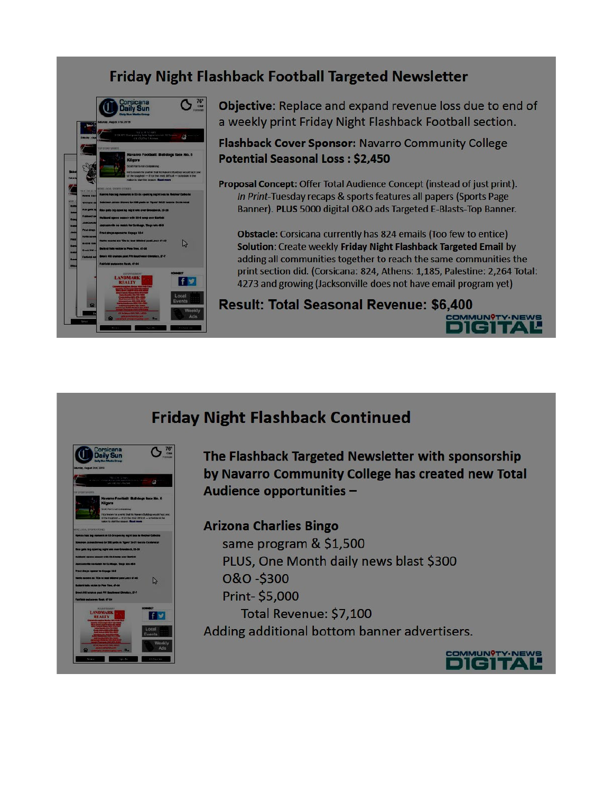## **Friday Night Flashback Football Targeted Newsletter**



Objective: Replace and expand revenue loss due to end of a weekly print Friday Night Flashback Football section.

Flashback Cover Sponsor: Navarro Community College **Potential Seasonal Loss: \$2,450** 

Proposal Concept: Offer Total Audience Concept (instead of just print). In Print-Tuesday recaps & sports features all papers (Sports Page Banner). PLUS 5000 digital O&O ads Targeted E-Blasts-Top Banner.

Obstacle: Corsicana currently has 824 emails (Too few to entice) Solution: Create weekly Friday Night Flashback Targeted Email by adding all communities together to reach the same communities the print section did. (Corsicana: 824, Athens: 1,185, Palestine: 2,264 Total: 4273 and growing (Jacksonville does not have email program yet)

### **Result: Total Seasonal Revenue: \$6,400**





The Flashback Targeted Newsletter with sponsorship by Navarro Community College has created new Total Audience opportunities -

### **Arizona Charlies Bingo**

same program & \$1,500 PLUS, One Month daily news blast \$300 0&0-\$300 Print-\$5,000 Total Revenue: \$7,100 Adding additional bottom banner advertisers.



**MMUN?TY.NEWS**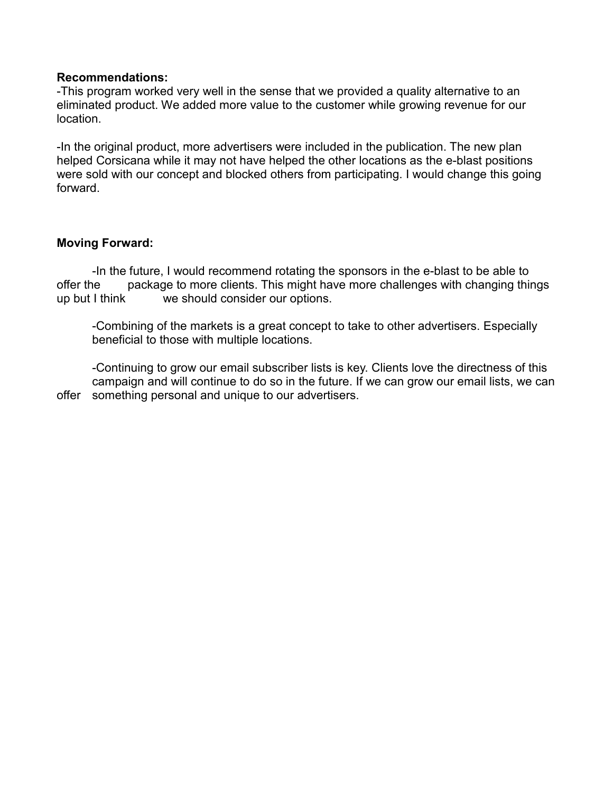#### **Recommendations:**

-This program worked very well in the sense that we provided a quality alternative to an eliminated product. We added more value to the customer while growing revenue for our location.

-In the original product, more advertisers were included in the publication. The new plan helped Corsicana while it may not have helped the other locations as the e-blast positions were sold with our concept and blocked others from participating. I would change this going forward.

### **Moving Forward:**

-In the future, I would recommend rotating the sponsors in the e-blast to be able to offer the package to more clients. This might have more challenges with changing things up but I think we should consider our options.

-Combining of the markets is a great concept to take to other advertisers. Especially beneficial to those with multiple locations.

-Continuing to grow our email subscriber lists is key. Clients love the directness of this campaign and will continue to do so in the future. If we can grow our email lists, we can offer something personal and unique to our advertisers.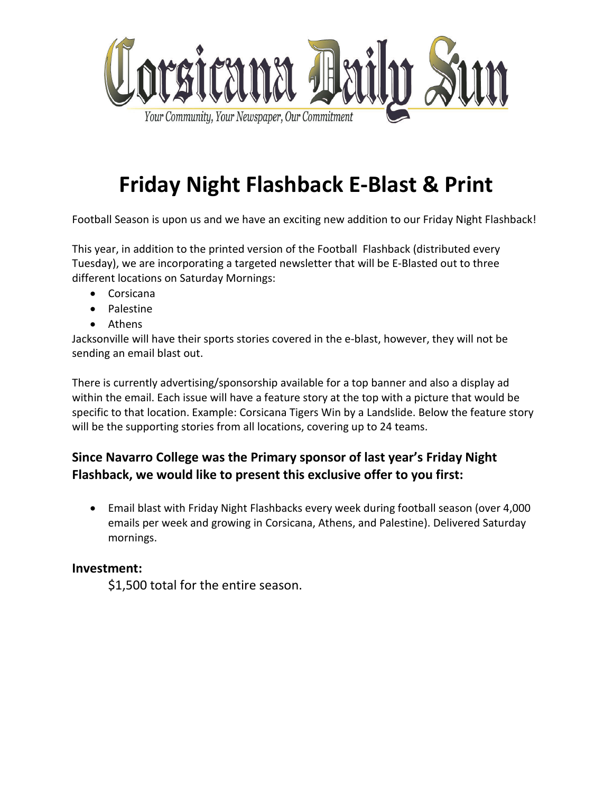

# **Friday Night Flashback E-Blast & Print**

Football Season is upon us and we have an exciting new addition to our Friday Night Flashback!

This year, in addition to the printed version of the Football Flashback (distributed every Tuesday), we are incorporating a targeted newsletter that will be E-Blasted out to three different locations on Saturday Mornings:

- Corsicana
- Palestine
- Athens

Jacksonville will have their sports stories covered in the e-blast, however, they will not be sending an email blast out.

There is currently advertising/sponsorship available for a top banner and also a display ad within the email. Each issue will have a feature story at the top with a picture that would be specific to that location. Example: Corsicana Tigers Win by a Landslide. Below the feature story will be the supporting stories from all locations, covering up to 24 teams.

### **Since Navarro College was the Primary sponsor of last year's Friday Night Flashback, we would like to present this exclusive offer to you first:**

• Email blast with Friday Night Flashbacks every week during football season (over 4,000 emails per week and growing in Corsicana, Athens, and Palestine). Delivered Saturday mornings.

### **Investment:**

\$1,500 total for the entire season.